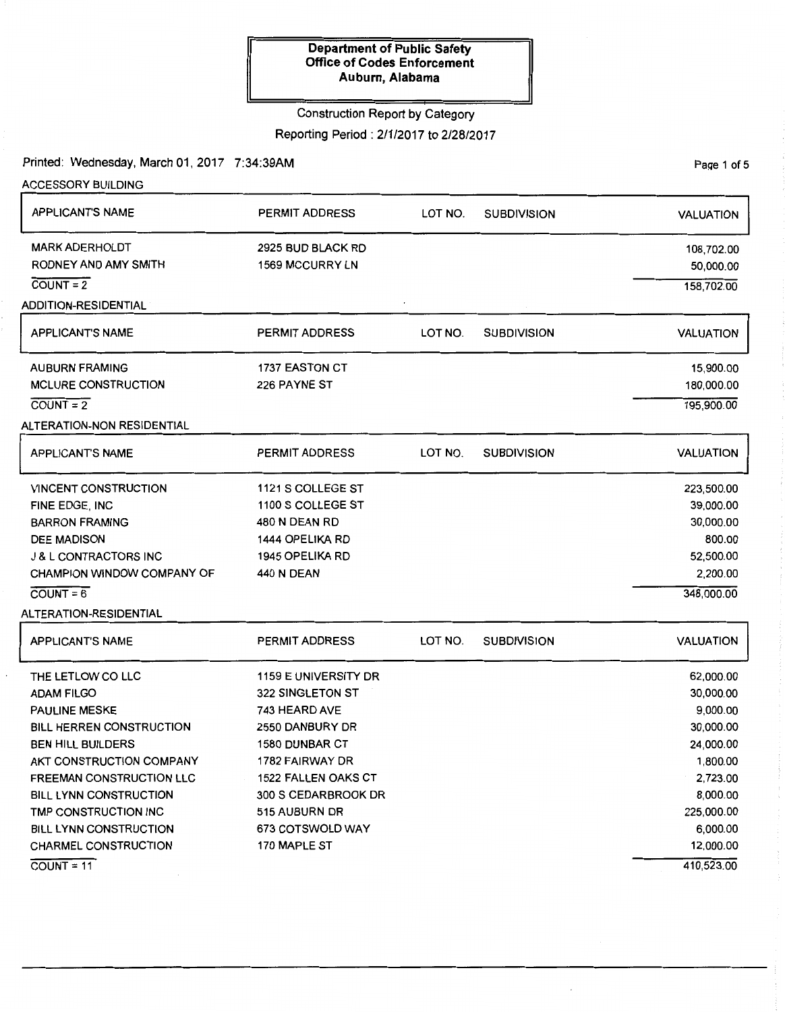### Construction Report by Category

Reporting Period: 2/1/2017 to 2/28/2017

Printed: Wednesday, March 01, 2017 7:34:39AM

PaQe 1 of 5

| <b>ACCESSORY BUILDING</b>         |                            |         |                    |                  |
|-----------------------------------|----------------------------|---------|--------------------|------------------|
| <b>APPLICANT'S NAME</b>           | <b>PERMIT ADDRESS</b>      | LOT NO. | <b>SUBDIVISION</b> | <b>VALUATION</b> |
| <b>MARK ADERHOLDT</b>             | 2925 BUD BLACK RD          |         |                    | 108,702.00       |
| RODNEY AND AMY SMITH              | 1569 MCCURRY LN            |         |                    | 50,000.00        |
| $COUNT = 2$                       |                            |         |                    | 158,702.00       |
| ADDITION-RESIDENTIAL              |                            |         |                    |                  |
| <b>APPLICANT'S NAME</b>           | <b>PERMIT ADDRESS</b>      | LOT NO. | <b>SUBDIVISION</b> | <b>VALUATION</b> |
| <b>AUBURN FRAMING</b>             | 1737 EASTON CT             |         |                    | 15,900.00        |
| <b>MCLURE CONSTRUCTION</b>        | 226 PAYNE ST               |         |                    | 180,000.00       |
| $\overline{COUNT} = \overline{2}$ |                            |         |                    | 195,900.00       |
| ALTERATION-NON RESIDENTIAL        |                            |         |                    |                  |
| <b>APPLICANT'S NAME</b>           | <b>PERMIT ADDRESS</b>      | LOT NO. | <b>SUBDIVISION</b> | <b>VALUATION</b> |
| <b>VINCENT CONSTRUCTION</b>       | 1121 S COLLEGE ST          |         |                    | 223,500.00       |
| FINE EDGE, INC                    | 1100 S COLLEGE ST          |         |                    | 39,000.00        |
| <b>BARRON FRAMING</b>             | 480 N DEAN RD              |         |                    | 30,000.00        |
| <b>DEE MADISON</b>                | 1444 OPELIKA RD            |         |                    | 800.00           |
| <b>J &amp; L CONTRACTORS INC</b>  | <b>1945 OPELIKA RD</b>     |         |                    | 52,500.00        |
| CHAMPION WINDOW COMPANY OF        | <b>440 N DEAN</b>          |         |                    | 2,200.00         |
| $\overline{COUNT} = 6$            |                            |         |                    | 348,000.00       |
| ALTERATION-RESIDENTIAL            |                            |         |                    |                  |
| <b>APPLICANT'S NAME</b>           | <b>PERMIT ADDRESS</b>      | LOT NO. | <b>SUBDIVISION</b> | <b>VALUATION</b> |
| THE LETLOW CO LLC                 | 1159 E UNIVERSITY DR       |         |                    | 62,000.00        |
| <b>ADAM FILGO</b>                 | 322 SINGLETON ST           |         |                    | 30,000.00        |
| <b>PAULINE MESKE</b>              | 743 HEARD AVE              |         |                    | 9,000.00         |
| <b>BILL HERREN CONSTRUCTION</b>   | 2550 DANBURY DR            |         |                    | 30,000.00        |
| BEN HILL BUILDERS                 | 1580 DUNBAR CT             |         |                    | 24,000.00        |
| AKT CONSTRUCTION COMPANY          | 1782 FAIRWAY DR            |         |                    | 1,800.00         |
| <b>FREEMAN CONSTRUCTION LLC</b>   | <b>1522 FALLEN OAKS CT</b> |         |                    | 2,723.00         |
| <b>BILL LYNN CONSTRUCTION</b>     | 300 S CEDARBROOK DR        |         |                    | 8,000.00         |
| TMP CONSTRUCTION INC              | 515 AUBURN DR              |         |                    | 225,000.00       |
| <b>BILL LYNN CONSTRUCTION</b>     | 673 COTSWOLD WAY           |         |                    | 6,000.00         |
| <b>CHARMEL CONSTRUCTION</b>       | 170 MAPLE ST               |         |                    | 12,000.00        |
| $\overline{COUNT} = 11$           |                            |         |                    | 410,523.00       |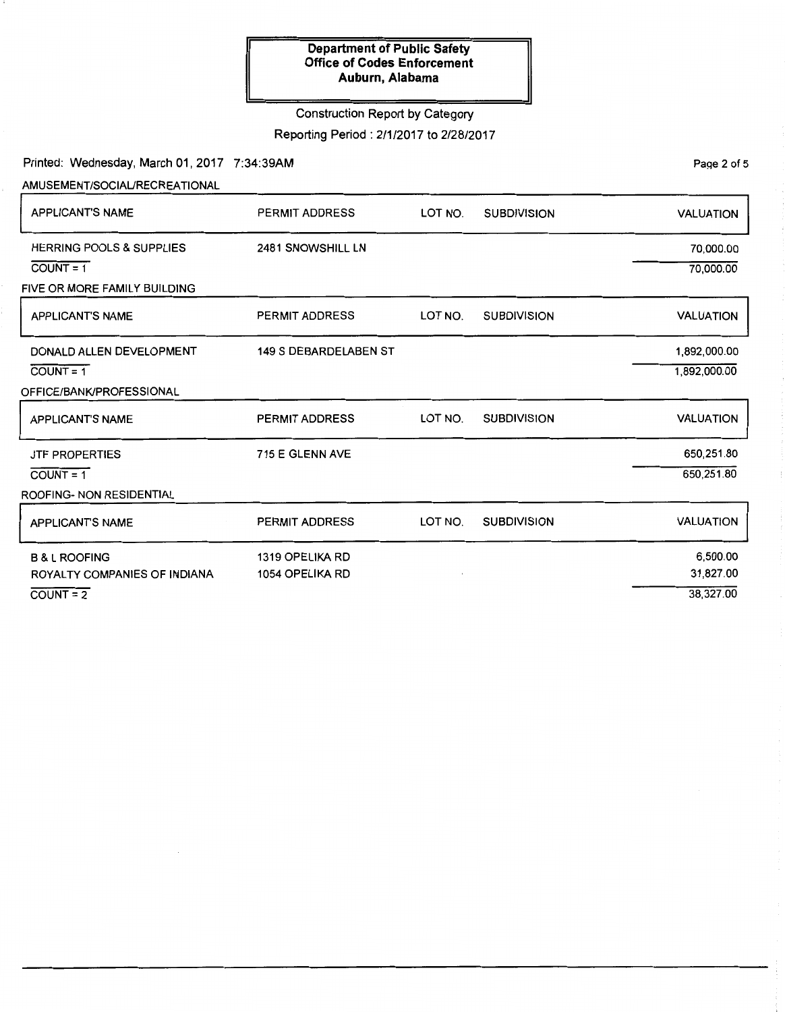## Construction Report by Category

Reporting Period: 2/1/2017 to 2/28/2017

Printed: Wednesday, March 01, 2017 7:34:39AM

Page 2 of 5

| AMUSEMENT/SOCIAL/RECREATIONAL       |                              |         |                    |                  |
|-------------------------------------|------------------------------|---------|--------------------|------------------|
| <b>APPLICANT'S NAME</b>             | <b>PERMIT ADDRESS</b>        | LOT NO. | <b>SUBDIVISION</b> | <b>VALUATION</b> |
| <b>HERRING POOLS &amp; SUPPLIES</b> | 2481 SNOWSHILL LN            |         |                    | 70,000.00        |
| $COVNT = 1$                         |                              |         |                    | 70,000.00        |
| FIVE OR MORE FAMILY BUILDING        |                              |         |                    |                  |
| <b>APPLICANT'S NAME</b>             | PERMIT ADDRESS               | LOT NO. | <b>SUBDIVISION</b> | <b>VALUATION</b> |
| DONALD ALLEN DEVELOPMENT            | <b>149 S DEBARDELABEN ST</b> |         |                    | 1,892,000.00     |
| $COUNT = 1$                         |                              |         |                    | 1,892,000.00     |
| OFFICE/BANK/PROFESSIONAL            |                              |         |                    |                  |
| <b>APPLICANT'S NAME</b>             | <b>PERMIT ADDRESS</b>        | LOT NO. | <b>SUBDIVISION</b> | <b>VALUATION</b> |
| <b>JTF PROPERTIES</b>               | 715 E GLENN AVE              |         |                    | 650,251.80       |
| $COUNT = 1$                         |                              |         |                    | 650,251.80       |
| ROOFING- NON RESIDENTIAL            |                              |         |                    |                  |
| APPLICANT'S NAME                    | PERMIT ADDRESS               | LOT NO. | <b>SUBDIVISION</b> | <b>VALUATION</b> |
| <b>B &amp; L ROOFING</b>            | 1319 OPELIKA RD              |         |                    | 6,500.00         |
| ROYALTY COMPANIES OF INDIANA        | 1054 OPELIKA RD              |         |                    | 31,827.00        |
| $COUNT = 2$                         |                              |         |                    | 38,327.00        |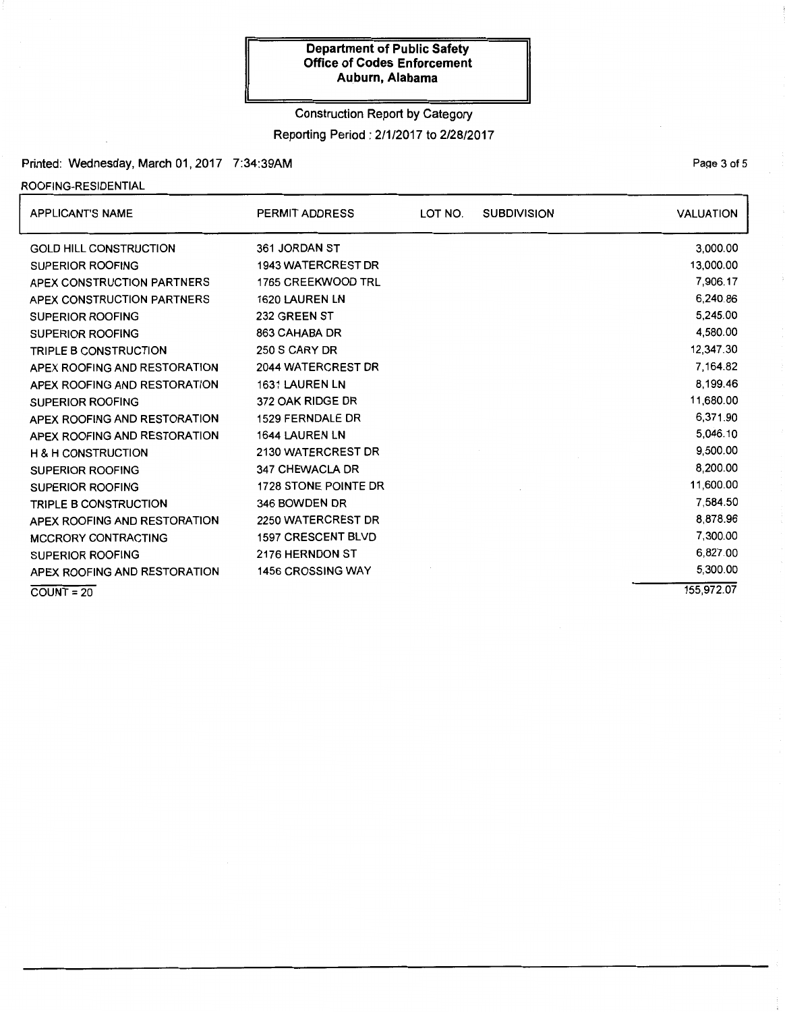### Construction Report by Category

Reporting Period: 2/1/2017 to 2/28/2017

## Printed: Wednesday, March 01, 2017 7:34:39AM

#### ROOFING-RESIDENTIAL

| <b>APPLICANT'S NAME</b>       | <b>PERMIT ADDRESS</b>     | LOT NO. | <b>SUBDIVISION</b> | <b>VALUATION</b> |
|-------------------------------|---------------------------|---------|--------------------|------------------|
| <b>GOLD HILL CONSTRUCTION</b> | 361 JORDAN ST             |         |                    | 3,000.00         |
| <b>SUPERIOR ROOFING</b>       | <b>1943 WATERCREST DR</b> |         |                    | 13,000.00        |
| APEX CONSTRUCTION PARTNERS    | 1765 CREEKWOOD TRL        |         |                    | 7,906.17         |
| APEX CONSTRUCTION PARTNERS    | 1620 LAUREN LN            |         |                    | 6,240.86         |
| <b>SUPERIOR ROOFING</b>       | 232 GREEN ST              |         |                    | 5,245.00         |
| <b>SUPERIOR ROOFING</b>       | 863 CAHABA DR             |         |                    | 4,580.00         |
| <b>TRIPLE B CONSTRUCTION</b>  | 250 S CARY DR             |         |                    | 12,347.30        |
| APEX ROOFING AND RESTORATION  | 2044 WATERCREST DR        |         |                    | 7,164.82         |
| APEX ROOFING AND RESTORATION  | 1631 LAUREN LN            |         |                    | 8,199.46         |
| <b>SUPERIOR ROOFING</b>       | 372 OAK RIDGE DR          |         |                    | 11,680.00        |
| APEX ROOFING AND RESTORATION  | 1529 FERNDALE DR          |         |                    | 6,371.90         |
| APEX ROOFING AND RESTORATION  | 1644 LAUREN LN            |         |                    | 5,046.10         |
| <b>H &amp; H CONSTRUCTION</b> | 2130 WATERCREST DR        |         |                    | 9,500.00         |
| <b>SUPERIOR ROOFING</b>       | 347 CHEWACLA DR           |         |                    | 8,200.00         |
| <b>SUPERIOR ROOFING</b>       | 1728 STONE POINTE DR      |         |                    | 11,600.00        |
| <b>TRIPLE B CONSTRUCTION</b>  | 346 BOWDEN DR             |         |                    | 7,584.50         |
| APEX ROOFING AND RESTORATION  | 2250 WATERCREST DR        |         |                    | 8,878.96         |
| <b>MCCRORY CONTRACTING</b>    | 1597 CRESCENT BLVD        |         |                    | 7,300.00         |
| <b>SUPERIOR ROOFING</b>       | 2176 HERNDON ST           |         |                    | 6,827.00         |
| APEX ROOFING AND RESTORATION  | 1456 CROSSING WAY         |         |                    | 5,300.00         |
| $COUNT = 20$                  |                           |         |                    | 155.972.07       |

#### PaQe 3 of 5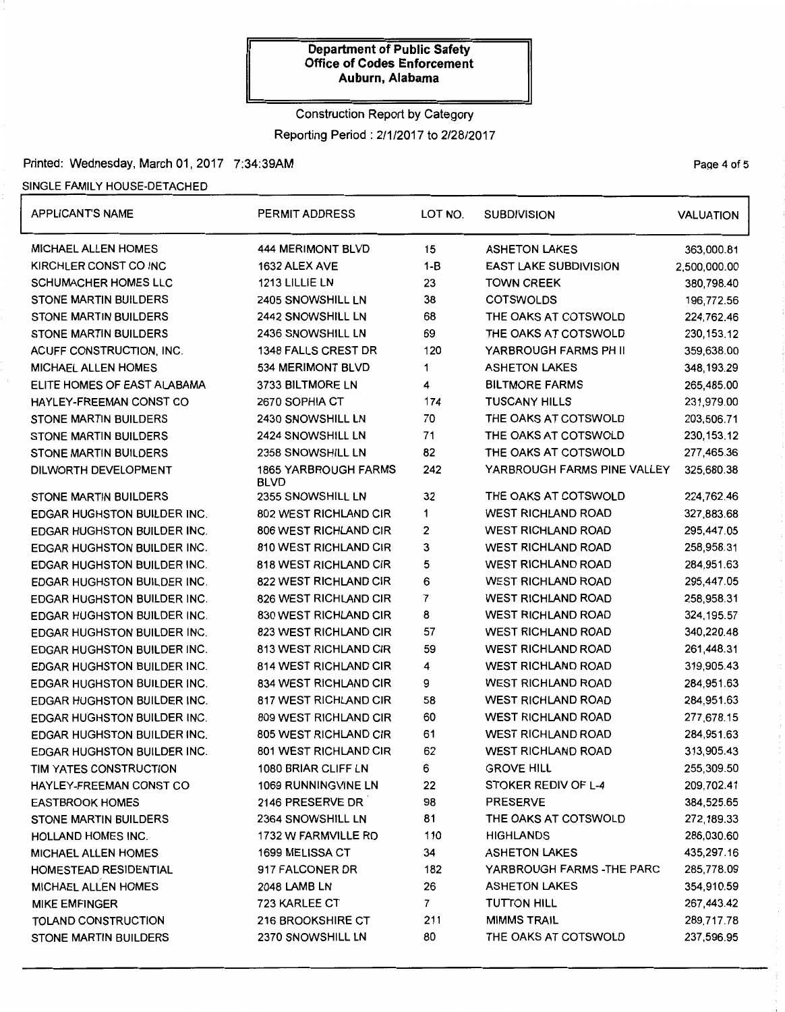## Construction Report by Category

Reporting Period: 2/1/2017 to 2/28/2017

### Printed: Wednesday, March 01, 2017 7:34:39AM

## SINGLE FAMILY HOUSE-DETACHED

| <b>APPLICANT'S NAME</b>            | PERMIT ADDRESS                             | LOT NO.                 | <b>SUBDIVISION</b>           | <b>VALUATION</b> |
|------------------------------------|--------------------------------------------|-------------------------|------------------------------|------------------|
| <b>MICHAEL ALLEN HOMES</b>         | 444 MERIMONT BLVD                          | 15                      | <b>ASHETON LAKES</b>         | 363,000.81       |
| KIRCHLER CONST CO INC              | 1632 ALEX AVE                              | $1 - B$                 | <b>EAST LAKE SUBDIVISION</b> | 2,500,000.00     |
| <b>SCHUMACHER HOMES LLC</b>        | 1213 LILLIE LN                             | 23<br><b>TOWN CREEK</b> |                              | 380,798.40       |
| <b>STONE MARTIN BUILDERS</b>       | 2405 SNOWSHILL LN                          | 38                      | <b>COTSWOLDS</b>             | 196,772.56       |
| <b>STONE MARTIN BUILDERS</b>       | 2442 SNOWSHILL LN                          | 68                      | THE OAKS AT COTSWOLD         | 224,762.46       |
| <b>STONE MARTIN BUILDERS</b>       | 2436 SNOWSHILL LN                          | 69                      | THE OAKS AT COTSWOLD         | 230, 153. 12     |
| ACUFF CONSTRUCTION, INC.           | 1348 FALLS CREST DR                        | 120                     | YARBROUGH FARMS PH II        | 359,638.00       |
| <b>MICHAEL ALLEN HOMES</b>         | 534 MERIMONT BLVD                          | 1                       | <b>ASHETON LAKES</b>         | 348, 193.29      |
| ELITE HOMES OF EAST ALABAMA        | 3733 BILTMORE LN                           | 4                       | <b>BILTMORE FARMS</b>        | 265,485.00       |
| HAYLEY-FREEMAN CONST CO            | 2670 SOPHIA CT                             | 174                     | <b>TUSCANY HILLS</b>         | 231,979.00       |
| <b>STONE MARTIN BUILDERS</b>       | 2430 SNOWSHILL LN                          | 70                      | THE OAKS AT COTSWOLD         | 203,506.71       |
| <b>STONE MARTIN BUILDERS</b>       | 2424 SNOWSHILL LN                          | 71                      | THE OAKS AT COTSWOLD         | 230, 153. 12     |
| <b>STONE MARTIN BUILDERS</b>       | 2358 SNOWSHILL LN                          | 82                      | THE OAKS AT COTSWOLD         | 277,465.36       |
| DILWORTH DEVELOPMENT               | <b>1865 YARBROUGH FARMS</b><br><b>BLVD</b> | 242                     | YARBROUGH FARMS PINE VALLEY  | 325,680.38       |
| <b>STONE MARTIN BUILDERS</b>       | 2355 SNOWSHILL LN                          | 32                      | THE OAKS AT COTSWOLD         | 224,762.46       |
| <b>EDGAR HUGHSTON BUILDER INC.</b> | 802 WEST RICHLAND CIR                      | 1                       | <b>WEST RICHLAND ROAD</b>    | 327,883.68       |
| <b>EDGAR HUGHSTON BUILDER INC.</b> | <b>806 WEST RICHLAND CIR</b>               | 2                       | <b>WEST RICHLAND ROAD</b>    | 295,447.05       |
| <b>EDGAR HUGHSTON BUILDER INC.</b> | 810 WEST RICHLAND CIR                      | 3                       | <b>WEST RICHLAND ROAD</b>    | 258,958.31       |
| <b>EDGAR HUGHSTON BUILDER INC.</b> | 818 WEST RICHLAND CIR                      | 5                       | <b>WEST RICHLAND ROAD</b>    | 284,951.63       |
| <b>EDGAR HUGHSTON BUILDER INC.</b> | 822 WEST RICHLAND CIR                      | 6                       | <b>WEST RICHLAND ROAD</b>    | 295,447.05       |
| <b>EDGAR HUGHSTON BUILDER INC.</b> | 826 WEST RICHLAND CIR                      | 7                       | <b>WEST RICHLAND ROAD</b>    | 258,958.31       |
| EDGAR HUGHSTON BUILDER INC.        | 830 WEST RICHLAND CIR                      | 8                       | <b>WEST RICHLAND ROAD</b>    | 324, 195.57      |
| <b>EDGAR HUGHSTON BUILDER INC.</b> | 823 WEST RICHLAND CIR                      | 57                      | <b>WEST RICHLAND ROAD</b>    | 340,220.48       |
| <b>EDGAR HUGHSTON BUILDER INC.</b> | 813 WEST RICHLAND CIR                      | 59                      | <b>WEST RICHLAND ROAD</b>    | 261,448.31       |
| <b>EDGAR HUGHSTON BUILDER INC.</b> | <b>814 WEST RICHLAND CIR</b>               | 4                       | <b>WEST RICHLAND ROAD</b>    | 319,905.43       |
| <b>EDGAR HUGHSTON BUILDER INC.</b> | 834 WEST RICHLAND CIR                      | 9                       | <b>WEST RICHLAND ROAD</b>    | 284,951.63       |
| <b>EDGAR HUGHSTON BUILDER INC.</b> | 817 WEST RICHLAND CIR                      | 58                      | <b>WEST RICHLAND ROAD</b>    | 284,951.63       |
| <b>EDGAR HUGHSTON BUILDER INC.</b> | 809 WEST RICHLAND CIR                      | 60                      | <b>WEST RICHLAND ROAD</b>    | 277,678.15       |
| <b>EDGAR HUGHSTON BUILDER INC.</b> | 805 WEST RICHLAND CIR                      | 61                      | <b>WEST RICHLAND ROAD</b>    | 284,951.63       |
| EDGAR HUGHSTON BUILDER INC.        | <b>801 WEST RICHLAND CIR</b>               | 62                      | <b>WEST RICHLAND ROAD</b>    | 313,905.43       |
| TIM YATES CONSTRUCTION             | 1080 BRIAR CLIFF LN                        | 6                       | <b>GROVE HILL</b>            | 255,309.50       |
| HAYLEY-FREEMAN CONST CO            | 1069 RUNNINGVINE LN                        | 22                      | STOKER REDIV OF L-4          | 209,702.41       |
| <b>EASTBROOK HOMES</b>             | 2146 PRESERVE DR                           | 98                      | <b>PRESERVE</b>              | 384,525.65       |
| <b>STONE MARTIN BUILDERS</b>       | 2364 SNOWSHILL LN                          | 81                      | THE OAKS AT COTSWOLD         | 272,189.33       |
| HOLLAND HOMES INC.                 | 1732 W FARMVILLE RD                        | 110                     | <b>HIGHLANDS</b>             | 286,030.60       |
| <b>MICHAEL ALLEN HOMES</b>         | <b>1699 MELISSA CT</b>                     | 34                      | <b>ASHETON LAKES</b>         | 435,297.16       |
| HOMESTEAD RESIDENTIAL              | 917 FALCONER DR                            | 182                     | YARBROUGH FARMS - THE PARC   | 285,778.09       |
| <b>MICHAEL ALLEN HOMES</b>         | <b>2048 LAMB LN</b>                        | 26                      | <b>ASHETON LAKES</b>         | 354,910.59       |
| <b>MIKE EMFINGER</b>               | 723 KARLEE CT                              | 7 <sup>1</sup>          | <b>TUTTON HILL</b>           | 267,443.42       |
| TOLAND CONSTRUCTION                | 216 BROOKSHIRE CT                          | 211                     | <b>MIMMS TRAIL</b>           | 289,717.78       |
| STONE MARTIN BUILDERS              | 2370 SNOWSHILL LN                          | 80                      | THE OAKS AT COTSWOLD         | 237,596.95       |

Page 4 of 5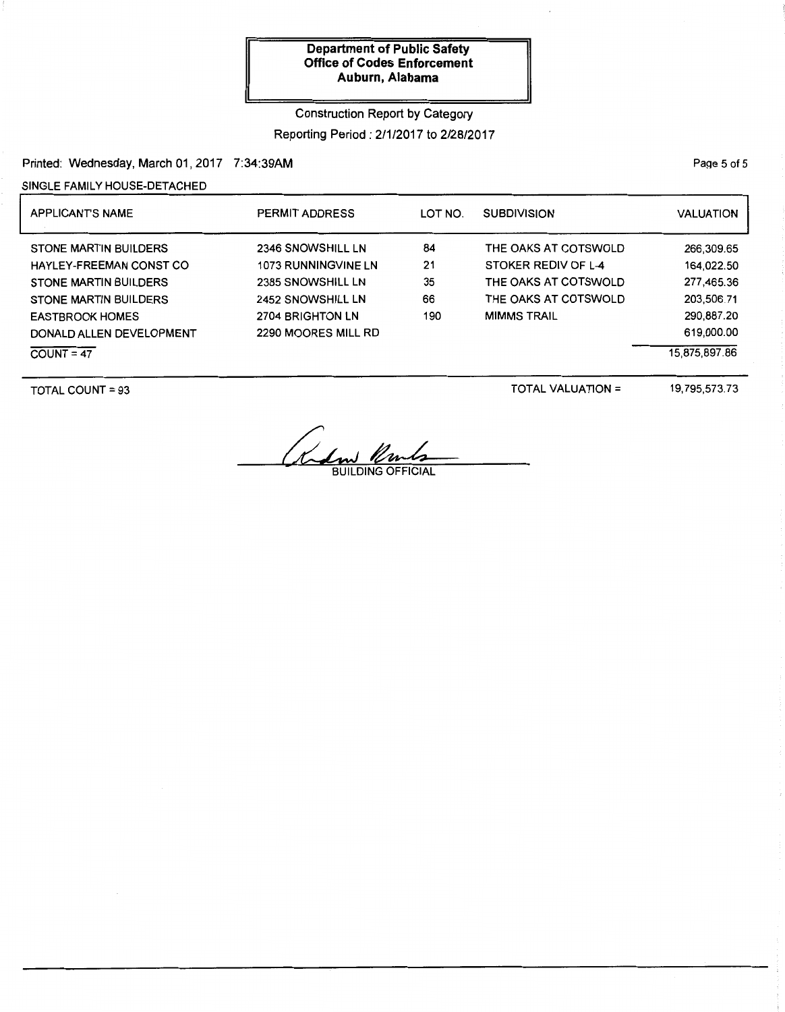Construction Report by Category Reporting Period: 2/1/2017 to 2/28/2017

Printed: Wednesday, March 01, 2017 7:34:39AM

SINGLE FAMILY HOUSE-DETACHED

| <b>APPLICANTS NAME</b>       | <b>PERMIT ADDRESS</b>      | LOT NO.<br><b>SUBDIVISION</b> |                      | VALUATION     |
|------------------------------|----------------------------|-------------------------------|----------------------|---------------|
| <b>STONE MARTIN BUILDERS</b> | 2346 SNOWSHILL LN          | 84                            | THE OAKS AT COTSWOLD | 266,309.65    |
| HAYLEY-FREEMAN CONST CO      | <b>1073 RUNNINGVINE LN</b> | 21                            | STOKER REDIV OF L-4  | 164,022.50    |
| <b>STONE MARTIN BUILDERS</b> | 2385 SNOWSHILL LN          | 35                            | THE OAKS AT COTSWOLD | 277,465.36    |
| <b>STONE MARTIN BUILDERS</b> | 2452 SNOWSHILL LN          | 66                            | THE OAKS AT COTSWOLD | 203,506.71    |
| <b>EASTBROOK HOMES</b>       | 2704 BRIGHTON LN           | 190                           | <b>MIMMS TRAIL</b>   | 290,887.20    |
| DONALD ALLEN DEVELOPMENT     | 2290 MOORES MILL RD        |                               |                      | 619,000.00    |
| $COUNT = 47$                 |                            |                               |                      | 15,875,897.86 |

TOTAL COUNT = 93

TOTAL VALUATION =

19,795,573.73

Redm Un

PaQe 5 of 5